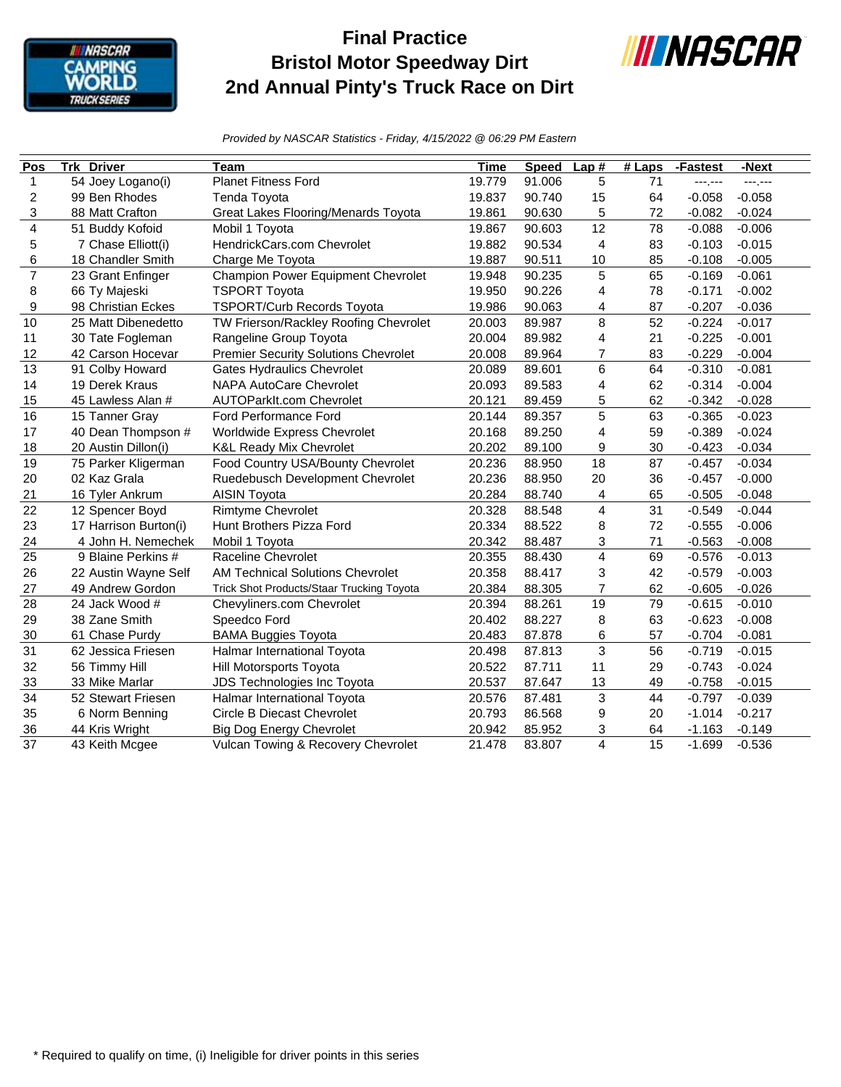

## **Final Practice Bristol Motor Speedway Dirt 2nd Annual Pinty's Truck Race on Dirt**



*Provided by NASCAR Statistics - Friday, 4/15/2022 @ 06:29 PM Eastern*

| Pos                     | <b>Trk Driver</b>     | Team                                        | <b>Time</b> | <b>Speed</b> | Lap#                    | $#$ Laps | -Fastest | -Next    |
|-------------------------|-----------------------|---------------------------------------------|-------------|--------------|-------------------------|----------|----------|----------|
| $\mathbf{1}$            | 54 Joey Logano(i)     | <b>Planet Fitness Ford</b>                  | 19.779      | 91.006       | 5                       | 71       | ---.---  | ---.---  |
| $\overline{c}$          | 99 Ben Rhodes         | Tenda Toyota                                | 19.837      | 90.740       | 15                      | 64       | $-0.058$ | $-0.058$ |
| 3                       | 88 Matt Crafton       | Great Lakes Flooring/Menards Toyota         | 19.861      | 90.630       | 5                       | 72       | $-0.082$ | $-0.024$ |
| $\overline{\mathbf{4}}$ | 51 Buddy Kofoid       | Mobil 1 Toyota                              | 19.867      | 90.603       | 12                      | 78       | $-0.088$ | $-0.006$ |
| $\mathbf 5$             | 7 Chase Elliott(i)    | HendrickCars.com Chevrolet                  | 19.882      | 90.534       | $\overline{\mathbf{4}}$ | 83       | $-0.103$ | $-0.015$ |
| 6                       | 18 Chandler Smith     | Charge Me Toyota                            | 19.887      | 90.511       | 10                      | 85       | $-0.108$ | $-0.005$ |
| $\overline{7}$          | 23 Grant Enfinger     | Champion Power Equipment Chevrolet          | 19.948      | 90.235       | 5                       | 65       | $-0.169$ | $-0.061$ |
| 8                       | 66 Ty Majeski         | <b>TSPORT Toyota</b>                        | 19.950      | 90.226       | 4                       | 78       | $-0.171$ | $-0.002$ |
| 9                       | 98 Christian Eckes    | <b>TSPORT/Curb Records Toyota</b>           | 19.986      | 90.063       | 4                       | 87       | $-0.207$ | $-0.036$ |
| 10                      | 25 Matt Dibenedetto   | TW Frierson/Rackley Roofing Chevrolet       | 20.003      | 89.987       | 8                       | 52       | $-0.224$ | $-0.017$ |
| 11                      | 30 Tate Fogleman      | Rangeline Group Toyota                      | 20.004      | 89.982       | $\overline{4}$          | 21       | $-0.225$ | $-0.001$ |
| 12                      | 42 Carson Hocevar     | <b>Premier Security Solutions Chevrolet</b> | 20.008      | 89.964       | $\overline{7}$          | 83       | $-0.229$ | $-0.004$ |
| 13                      | 91 Colby Howard       | <b>Gates Hydraulics Chevrolet</b>           | 20.089      | 89.601       | 6                       | 64       | $-0.310$ | $-0.081$ |
| 14                      | 19 Derek Kraus        | <b>NAPA AutoCare Chevrolet</b>              | 20.093      | 89.583       | 4                       | 62       | $-0.314$ | $-0.004$ |
| 15                      | 45 Lawless Alan #     | AUTOParkIt.com Chevrolet                    | 20.121      | 89.459       | 5                       | 62       | $-0.342$ | $-0.028$ |
| 16                      | 15 Tanner Gray        | Ford Performance Ford                       | 20.144      | 89.357       | 5                       | 63       | $-0.365$ | $-0.023$ |
| 17                      | 40 Dean Thompson #    | Worldwide Express Chevrolet                 | 20.168      | 89.250       | $\overline{4}$          | 59       | $-0.389$ | $-0.024$ |
| 18                      | 20 Austin Dillon(i)   | <b>K&amp;L Ready Mix Chevrolet</b>          | 20.202      | 89.100       | 9                       | 30       | $-0.423$ | $-0.034$ |
| 19                      | 75 Parker Kligerman   | Food Country USA/Bounty Chevrolet           | 20.236      | 88.950       | 18                      | 87       | $-0.457$ | $-0.034$ |
| 20                      | 02 Kaz Grala          | Ruedebusch Development Chevrolet            | 20.236      | 88.950       | 20                      | 36       | $-0.457$ | $-0.000$ |
| 21                      | 16 Tyler Ankrum       | AISIN Toyota                                | 20.284      | 88.740       | 4                       | 65       | $-0.505$ | $-0.048$ |
| 22                      | 12 Spencer Boyd       | <b>Rimtyme Chevrolet</b>                    | 20.328      | 88.548       | $\overline{4}$          | 31       | $-0.549$ | $-0.044$ |
| 23                      | 17 Harrison Burton(i) | Hunt Brothers Pizza Ford                    | 20.334      | 88.522       | 8                       | 72       | $-0.555$ | $-0.006$ |
| 24                      | 4 John H. Nemechek    | Mobil 1 Toyota                              | 20.342      | 88.487       | 3                       | 71       | $-0.563$ | $-0.008$ |
| 25                      | 9 Blaine Perkins #    | <b>Raceline Chevrolet</b>                   | 20.355      | 88.430       | 4                       | 69       | $-0.576$ | $-0.013$ |
| 26                      | 22 Austin Wayne Self  | <b>AM Technical Solutions Chevrolet</b>     | 20.358      | 88.417       | 3                       | 42       | $-0.579$ | $-0.003$ |
| 27                      | 49 Andrew Gordon      | Trick Shot Products/Staar Trucking Toyota   | 20.384      | 88.305       | 7                       | 62       | $-0.605$ | $-0.026$ |
| 28                      | 24 Jack Wood #        | Chevyliners.com Chevrolet                   | 20.394      | 88.261       | 19                      | 79       | $-0.615$ | $-0.010$ |
| 29                      | 38 Zane Smith         | Speedco Ford                                | 20.402      | 88.227       | 8                       | 63       | $-0.623$ | $-0.008$ |
| 30                      | 61 Chase Purdy        | <b>BAMA Buggies Toyota</b>                  | 20.483      | 87.878       | 6                       | 57       | $-0.704$ | $-0.081$ |
| 31                      | 62 Jessica Friesen    | Halmar International Toyota                 | 20.498      | 87.813       | 3                       | 56       | $-0.719$ | $-0.015$ |
| 32                      | 56 Timmy Hill         | Hill Motorsports Toyota                     | 20.522      | 87.711       | 11                      | 29       | $-0.743$ | $-0.024$ |
| 33                      | 33 Mike Marlar        | JDS Technologies Inc Toyota                 | 20.537      | 87.647       | 13                      | 49       | $-0.758$ | $-0.015$ |
| $\overline{34}$         | 52 Stewart Friesen    | Halmar International Toyota                 | 20.576      | 87.481       | 3                       | 44       | $-0.797$ | $-0.039$ |
| 35                      | 6 Norm Benning        | <b>Circle B Diecast Chevrolet</b>           | 20.793      | 86.568       | 9                       | 20       | $-1.014$ | $-0.217$ |
| 36                      | 44 Kris Wright        | <b>Big Dog Energy Chevrolet</b>             | 20.942      | 85.952       | 3                       | 64       | $-1.163$ | $-0.149$ |
| 37                      | 43 Keith Mcgee        | Vulcan Towing & Recovery Chevrolet          | 21.478      | 83.807       | $\overline{4}$          | 15       | $-1.699$ | $-0.536$ |